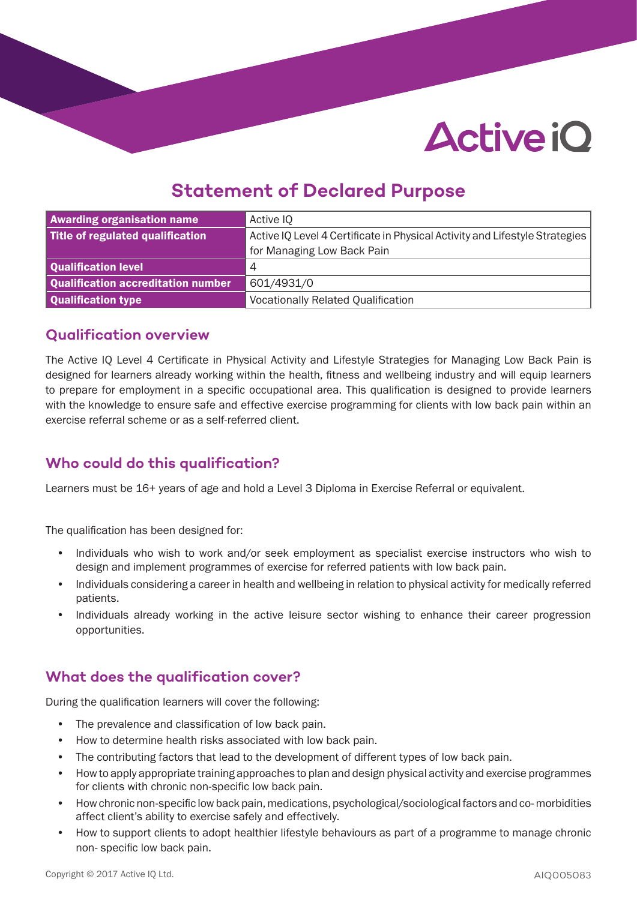# **Active iO**

# **Statement of Declared Purpose**

| <b>Awarding organisation name</b>  | Active IQ                                                                   |
|------------------------------------|-----------------------------------------------------------------------------|
| Title of regulated qualification   | Active IQ Level 4 Certificate in Physical Activity and Lifestyle Strategies |
|                                    | for Managing Low Back Pain                                                  |
| Qualification level                | 4                                                                           |
| Qualification accreditation number | 601/4931/0                                                                  |
| Qualification type                 | <b>Vocationally Related Qualification</b>                                   |

#### **Qualification overview**

The Active IQ Level 4 Certificate in Physical Activity and Lifestyle Strategies for Managing Low Back Pain is designed for learners already working within the health, fitness and wellbeing industry and will equip learners to prepare for employment in a specific occupational area. This qualification is designed to provide learners with the knowledge to ensure safe and effective exercise programming for clients with low back pain within an exercise referral scheme or as a self-referred client.

#### **Who could do this qualification?**

Learners must be 16+ years of age and hold a Level 3 Diploma in Exercise Referral or equivalent.

The qualification has been designed for:

- Individuals who wish to work and/or seek employment as specialist exercise instructors who wish to design and implement programmes of exercise for referred patients with low back pain.
- Individuals considering a career in health and wellbeing in relation to physical activity for medically referred patients.
- Individuals already working in the active leisure sector wishing to enhance their career progression opportunities.

#### **What does the qualification cover?**

During the qualification learners will cover the following:

- The prevalence and classification of low back pain.
- How to determine health risks associated with low back pain.
- The contributing factors that lead to the development of different types of low back pain.
- How to apply appropriate training approaches to plan and design physical activity and exercise programmes for clients with chronic non-specific low back pain.
- How chronic non-specific low back pain, medications, psychological/sociological factors and co- morbidities affect client's ability to exercise safely and effectively.
- How to support clients to adopt healthier lifestyle behaviours as part of a programme to manage chronic non- specific low back pain.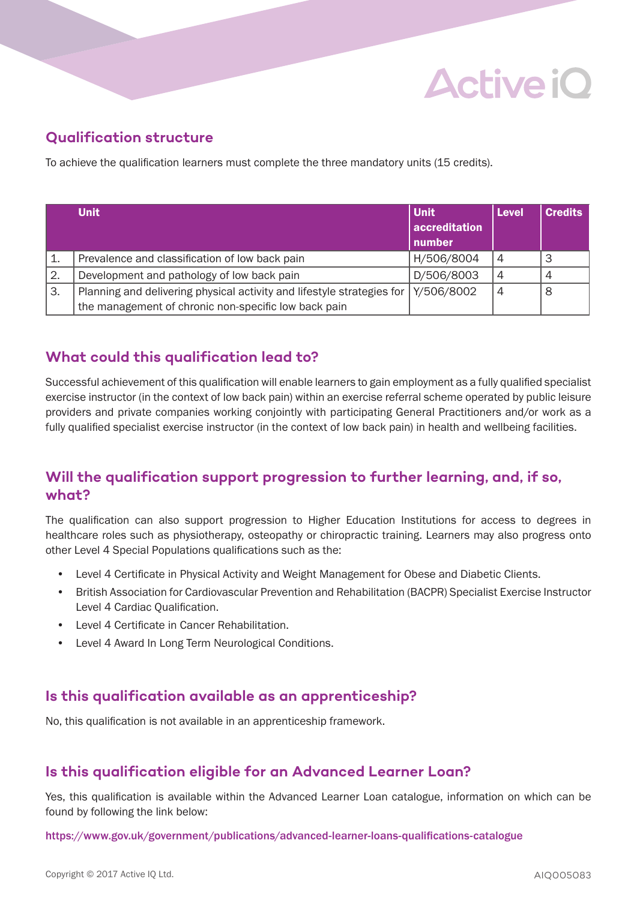# **Active iO**

## **Qualification structure**

To achieve the qualification learners must complete the three mandatory units (15 credits).

|    | <b>Unit</b>                                                            | Unit          | <b>Level</b>   | <b>Credits</b> |
|----|------------------------------------------------------------------------|---------------|----------------|----------------|
|    |                                                                        | accreditation |                |                |
|    |                                                                        | number        |                |                |
| 1. | Prevalence and classification of low back pain                         | H/506/8004    | $\overline{4}$ |                |
| 2. | Development and pathology of low back pain                             | D/506/8003    | $\overline{4}$ |                |
| 3. | Planning and delivering physical activity and lifestyle strategies for | Y/506/8002    | $\overline{4}$ | 8              |
|    | the management of chronic non-specific low back pain                   |               |                |                |

#### **What could this qualification lead to?**

Successful achievement of this qualification will enable learners to gain employment as a fully qualified specialist exercise instructor (in the context of low back pain) within an exercise referral scheme operated by public leisure providers and private companies working conjointly with participating General Practitioners and/or work as a fully qualified specialist exercise instructor (in the context of low back pain) in health and wellbeing facilities.

#### **Will the qualification support progression to further learning, and, if so, what?**

The qualification can also support progression to Higher Education Institutions for access to degrees in healthcare roles such as physiotherapy, osteopathy or chiropractic training. Learners may also progress onto other Level 4 Special Populations qualifications such as the:

- Level 4 Certificate in Physical Activity and Weight Management for Obese and Diabetic Clients.
- British Association for Cardiovascular Prevention and Rehabilitation (BACPR) Specialist Exercise Instructor Level 4 Cardiac Qualification.
- Level 4 Certificate in Cancer Rehabilitation.
- Level 4 Award In Long Term Neurological Conditions.

#### **Is this qualification available as an apprenticeship?**

No, this qualification is not available in an apprenticeship framework.

#### **Is this qualification eligible for an Advanced Learner Loan?**

Yes, this qualification is available within the Advanced Learner Loan catalogue, information on which can be found by following the link below:

https://www.gov.uk/government/publications/advanced-learner-loans-qualifications-catalogue